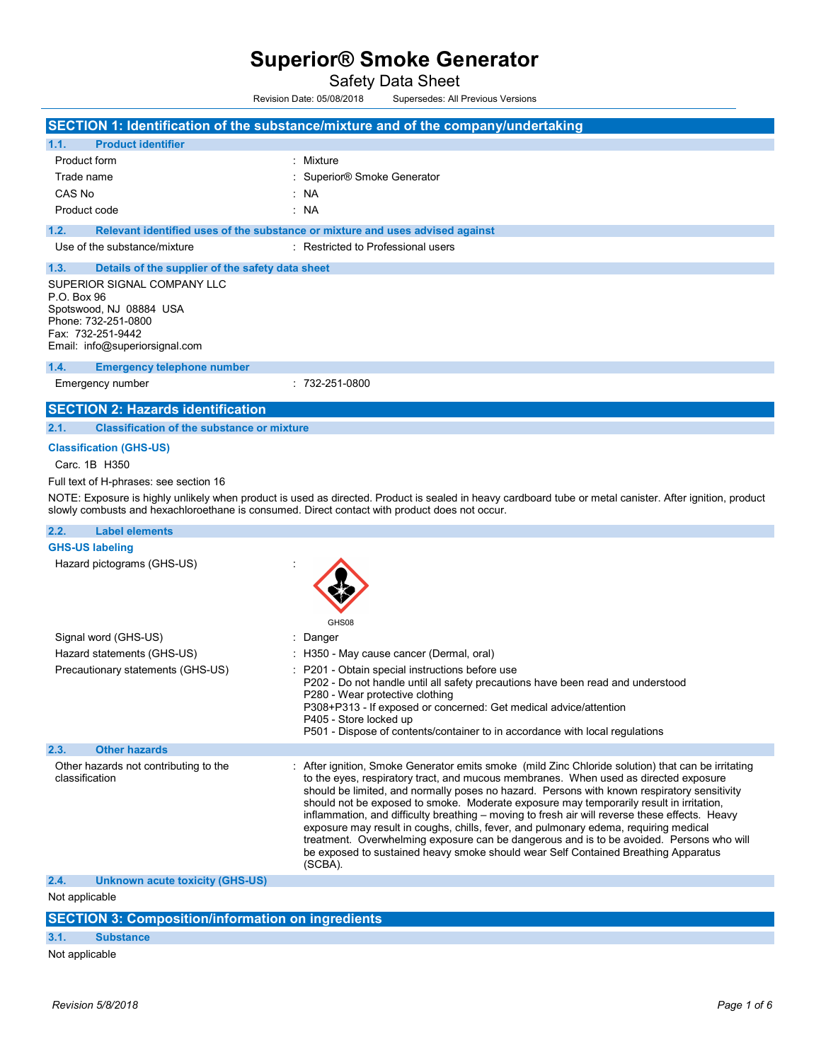Safety Data Sheet

Revision Date: 05/08/2018 Supersedes: All Previous Versions

|                                                                                                                                                                                            | SECTION 1: Identification of the substance/mixture and of the company/undertaking                                                                                                                                                                                                                                                                                                                                                                                                                                                                                                                                                                                                                                                                                           |
|--------------------------------------------------------------------------------------------------------------------------------------------------------------------------------------------|-----------------------------------------------------------------------------------------------------------------------------------------------------------------------------------------------------------------------------------------------------------------------------------------------------------------------------------------------------------------------------------------------------------------------------------------------------------------------------------------------------------------------------------------------------------------------------------------------------------------------------------------------------------------------------------------------------------------------------------------------------------------------------|
| 1.1.<br><b>Product identifier</b>                                                                                                                                                          |                                                                                                                                                                                                                                                                                                                                                                                                                                                                                                                                                                                                                                                                                                                                                                             |
| <b>Product form</b>                                                                                                                                                                        | : Mixture                                                                                                                                                                                                                                                                                                                                                                                                                                                                                                                                                                                                                                                                                                                                                                   |
| Trade name                                                                                                                                                                                 | : Superior® Smoke Generator                                                                                                                                                                                                                                                                                                                                                                                                                                                                                                                                                                                                                                                                                                                                                 |
| CAS No                                                                                                                                                                                     | : NA                                                                                                                                                                                                                                                                                                                                                                                                                                                                                                                                                                                                                                                                                                                                                                        |
| Product code                                                                                                                                                                               | : NA                                                                                                                                                                                                                                                                                                                                                                                                                                                                                                                                                                                                                                                                                                                                                                        |
| 1.2.                                                                                                                                                                                       | Relevant identified uses of the substance or mixture and uses advised against                                                                                                                                                                                                                                                                                                                                                                                                                                                                                                                                                                                                                                                                                               |
| Use of the substance/mixture                                                                                                                                                               | : Restricted to Professional users                                                                                                                                                                                                                                                                                                                                                                                                                                                                                                                                                                                                                                                                                                                                          |
| 1.3.<br>Details of the supplier of the safety data sheet                                                                                                                                   |                                                                                                                                                                                                                                                                                                                                                                                                                                                                                                                                                                                                                                                                                                                                                                             |
| SUPERIOR SIGNAL COMPANY LLC<br>P.O. Box 96<br>Spotswood, NJ 08884 USA<br>Phone: 732-251-0800<br>Fax: 732-251-9442<br>Email: info@superiorsignal.com                                        |                                                                                                                                                                                                                                                                                                                                                                                                                                                                                                                                                                                                                                                                                                                                                                             |
| 1.4.<br><b>Emergency telephone number</b>                                                                                                                                                  |                                                                                                                                                                                                                                                                                                                                                                                                                                                                                                                                                                                                                                                                                                                                                                             |
| Emergency number                                                                                                                                                                           | $: 732 - 251 - 0800$                                                                                                                                                                                                                                                                                                                                                                                                                                                                                                                                                                                                                                                                                                                                                        |
| <b>SECTION 2: Hazards identification</b>                                                                                                                                                   |                                                                                                                                                                                                                                                                                                                                                                                                                                                                                                                                                                                                                                                                                                                                                                             |
| 2.1.<br><b>Classification of the substance or mixture</b>                                                                                                                                  |                                                                                                                                                                                                                                                                                                                                                                                                                                                                                                                                                                                                                                                                                                                                                                             |
| <b>Classification (GHS-US)</b><br>Carc. 1B H350<br>Full text of H-phrases: see section 16<br>slowly combusts and hexachloroethane is consumed. Direct contact with product does not occur. | NOTE: Exposure is highly unlikely when product is used as directed. Product is sealed in heavy cardboard tube or metal canister. After ignition, product                                                                                                                                                                                                                                                                                                                                                                                                                                                                                                                                                                                                                    |
| 2.2.<br><b>Label elements</b>                                                                                                                                                              |                                                                                                                                                                                                                                                                                                                                                                                                                                                                                                                                                                                                                                                                                                                                                                             |
| <b>GHS-US labeling</b>                                                                                                                                                                     |                                                                                                                                                                                                                                                                                                                                                                                                                                                                                                                                                                                                                                                                                                                                                                             |
| Hazard pictograms (GHS-US)                                                                                                                                                                 | GHS08                                                                                                                                                                                                                                                                                                                                                                                                                                                                                                                                                                                                                                                                                                                                                                       |
| Signal word (GHS-US)                                                                                                                                                                       | : Danger                                                                                                                                                                                                                                                                                                                                                                                                                                                                                                                                                                                                                                                                                                                                                                    |
| Hazard statements (GHS-US)                                                                                                                                                                 | H350 - May cause cancer (Dermal, oral)                                                                                                                                                                                                                                                                                                                                                                                                                                                                                                                                                                                                                                                                                                                                      |
| Precautionary statements (GHS-US)                                                                                                                                                          | P201 - Obtain special instructions before use<br>P202 - Do not handle until all safety precautions have been read and understood<br>P280 - Wear protective clothing<br>P308+P313 - If exposed or concerned: Get medical advice/attention<br>P405 - Store locked up<br>P501 - Dispose of contents/container to in accordance with local regulations                                                                                                                                                                                                                                                                                                                                                                                                                          |
| 2.3.<br><b>Other hazards</b>                                                                                                                                                               |                                                                                                                                                                                                                                                                                                                                                                                                                                                                                                                                                                                                                                                                                                                                                                             |
| Other hazards not contributing to the<br>classification                                                                                                                                    | : After ignition, Smoke Generator emits smoke (mild Zinc Chloride solution) that can be irritating<br>to the eyes, respiratory tract, and mucous membranes. When used as directed exposure<br>should be limited, and normally poses no hazard. Persons with known respiratory sensitivity<br>should not be exposed to smoke. Moderate exposure may temporarily result in irritation,<br>inflammation, and difficulty breathing – moving to fresh air will reverse these effects. Heavy<br>exposure may result in coughs, chills, fever, and pulmonary edema, requiring medical<br>treatment. Overwhelming exposure can be dangerous and is to be avoided. Persons who will<br>be exposed to sustained heavy smoke should wear Self Contained Breathing Apparatus<br>(SCBA). |
| 2.4.<br>Unknown acute toxicity (GHS-US)                                                                                                                                                    |                                                                                                                                                                                                                                                                                                                                                                                                                                                                                                                                                                                                                                                                                                                                                                             |
| Not applicable                                                                                                                                                                             |                                                                                                                                                                                                                                                                                                                                                                                                                                                                                                                                                                                                                                                                                                                                                                             |
| <b>SECTION 3: Composition/information on ingredients</b>                                                                                                                                   |                                                                                                                                                                                                                                                                                                                                                                                                                                                                                                                                                                                                                                                                                                                                                                             |
| 3.1.<br><b>Substance</b>                                                                                                                                                                   |                                                                                                                                                                                                                                                                                                                                                                                                                                                                                                                                                                                                                                                                                                                                                                             |

Not applicable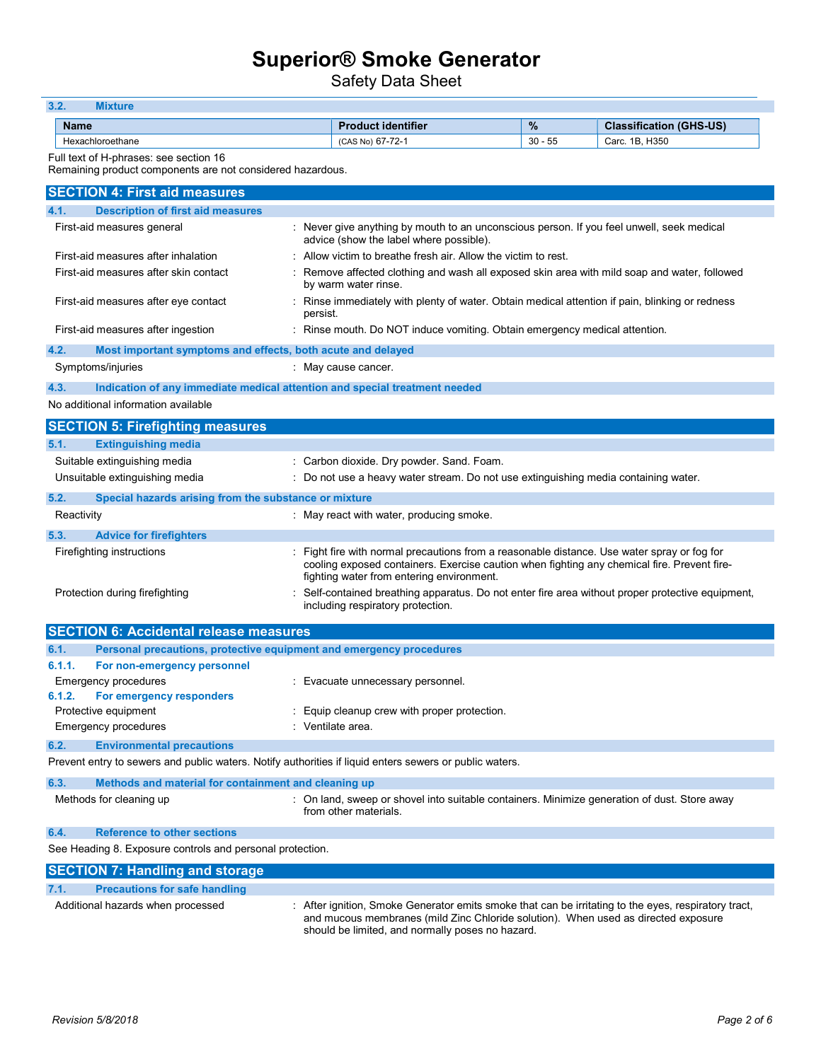Safety Data Sheet

| 3.2.<br><b>Mixture</b>                                                                                  |                                                                                                                                          |           |                                |
|---------------------------------------------------------------------------------------------------------|------------------------------------------------------------------------------------------------------------------------------------------|-----------|--------------------------------|
| <b>Name</b>                                                                                             | <b>Product identifier</b>                                                                                                                | $\%$      | <b>Classification (GHS-US)</b> |
| Hexachloroethane                                                                                        | (CAS No) 67-72-1                                                                                                                         | $30 - 55$ | Carc. 1B, H350                 |
| Full text of H-phrases: see section 16<br>Remaining product components are not considered hazardous.    |                                                                                                                                          |           |                                |
| <b>SECTION 4: First aid measures</b>                                                                    |                                                                                                                                          |           |                                |
| 4.1.<br><b>Description of first aid measures</b>                                                        |                                                                                                                                          |           |                                |
| First-aid measures general                                                                              | : Never give anything by mouth to an unconscious person. If you feel unwell, seek medical<br>advice (show the label where possible).     |           |                                |
| First-aid measures after inhalation                                                                     | Allow victim to breathe fresh air. Allow the victim to rest.                                                                             |           |                                |
| First-aid measures after skin contact                                                                   | Remove affected clothing and wash all exposed skin area with mild soap and water, followed<br>by warm water rinse.                       |           |                                |
| First-aid measures after eye contact                                                                    | Rinse immediately with plenty of water. Obtain medical attention if pain, blinking or redness<br>persist.                                |           |                                |
| First-aid measures after ingestion                                                                      | : Rinse mouth. Do NOT induce vomiting. Obtain emergency medical attention.                                                               |           |                                |
| 4.2.<br>Most important symptoms and effects, both acute and delayed                                     |                                                                                                                                          |           |                                |
| Symptoms/injuries                                                                                       | : May cause cancer.                                                                                                                      |           |                                |
| 4.3.<br>Indication of any immediate medical attention and special treatment needed                      |                                                                                                                                          |           |                                |
| No additional information available                                                                     |                                                                                                                                          |           |                                |
| <b>SECTION 5: Firefighting measures</b>                                                                 |                                                                                                                                          |           |                                |
| 5.1.<br><b>Extinguishing media</b>                                                                      |                                                                                                                                          |           |                                |
| Suitable extinguishing media                                                                            | : Carbon dioxide. Dry powder. Sand. Foam.                                                                                                |           |                                |
| Unsuitable extinguishing media                                                                          | Do not use a heavy water stream. Do not use extinguishing media containing water.                                                        |           |                                |
| 5.2.<br>Special hazards arising from the substance or mixture                                           |                                                                                                                                          |           |                                |
| Reactivity                                                                                              | : May react with water, producing smoke.                                                                                                 |           |                                |
| 5.3.<br><b>Advice for firefighters</b>                                                                  |                                                                                                                                          |           |                                |
| Firefighting instructions                                                                               | Fight fire with normal precautions from a reasonable distance. Use water spray or fog for                                                |           |                                |
|                                                                                                         | cooling exposed containers. Exercise caution when fighting any chemical fire. Prevent fire-<br>fighting water from entering environment. |           |                                |
| Protection during firefighting                                                                          | Self-contained breathing apparatus. Do not enter fire area without proper protective equipment,<br>including respiratory protection.     |           |                                |
| <b>SECTION 6: Accidental release measures</b>                                                           |                                                                                                                                          |           |                                |
| 6.1.<br>Personal precautions, protective equipment and emergency procedures                             |                                                                                                                                          |           |                                |
| 6.1.1.<br>For non-emergency personnel                                                                   |                                                                                                                                          |           |                                |
| Emergency procedures                                                                                    | : Evacuate unnecessary personnel.                                                                                                        |           |                                |
| For emergency responders<br>6.1.2.                                                                      |                                                                                                                                          |           |                                |
| Protective equipment                                                                                    | Equip cleanup crew with proper protection.                                                                                               |           |                                |
| <b>Emergency procedures</b>                                                                             | : Ventilate area.                                                                                                                        |           |                                |
| 6.2.<br><b>Environmental precautions</b>                                                                |                                                                                                                                          |           |                                |
| Prevent entry to sewers and public waters. Notify authorities if liquid enters sewers or public waters. |                                                                                                                                          |           |                                |
| 6.3.<br>Methods and material for containment and cleaning up                                            |                                                                                                                                          |           |                                |
| Methods for cleaning up                                                                                 | : On land, sweep or shovel into suitable containers. Minimize generation of dust. Store away<br>from other materials.                    |           |                                |
| 6.4.<br><b>Reference to other sections</b>                                                              |                                                                                                                                          |           |                                |
| See Heading 8. Exposure controls and personal protection.                                               |                                                                                                                                          |           |                                |
| <b>SECTION 7: Handling and storage</b>                                                                  |                                                                                                                                          |           |                                |

### 7.1. Precautions for safe handling

Additional hazards when processed : After ignition, Smoke Generator emits smoke that can be irritating to the eyes, respiratory tract, and mucous membranes (mild Zinc Chloride solution). When used as directed exposure should be limited, and normally poses no hazard.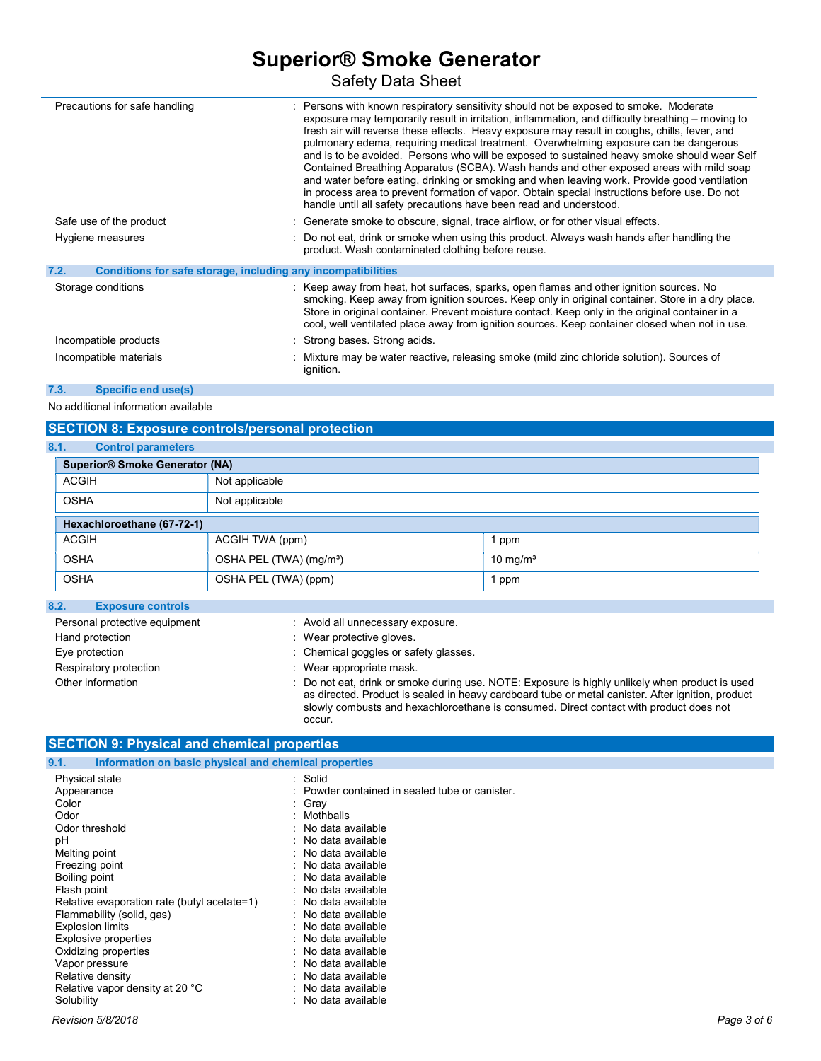Safety Data Sheet

| Precautions for safe handling                                        |  | : Persons with known respiratory sensitivity should not be exposed to smoke. Moderate<br>exposure may temporarily result in irritation, inflammation, and difficulty breathing – moving to<br>fresh air will reverse these effects. Heavy exposure may result in coughs, chills, fever, and<br>pulmonary edema, requiring medical treatment. Overwhelming exposure can be dangerous<br>and is to be avoided. Persons who will be exposed to sustained heavy smoke should wear Self<br>Contained Breathing Apparatus (SCBA). Wash hands and other exposed areas with mild soap<br>and water before eating, drinking or smoking and when leaving work. Provide good ventilation<br>in process area to prevent formation of vapor. Obtain special instructions before use. Do not<br>handle until all safety precautions have been read and understood. |  |
|----------------------------------------------------------------------|--|------------------------------------------------------------------------------------------------------------------------------------------------------------------------------------------------------------------------------------------------------------------------------------------------------------------------------------------------------------------------------------------------------------------------------------------------------------------------------------------------------------------------------------------------------------------------------------------------------------------------------------------------------------------------------------------------------------------------------------------------------------------------------------------------------------------------------------------------------|--|
| Safe use of the product                                              |  | : Generate smoke to obscure, signal, trace airflow, or for other visual effects.                                                                                                                                                                                                                                                                                                                                                                                                                                                                                                                                                                                                                                                                                                                                                                     |  |
| Hygiene measures                                                     |  | : Do not eat, drink or smoke when using this product. Always wash hands after handling the<br>product. Wash contaminated clothing before reuse.                                                                                                                                                                                                                                                                                                                                                                                                                                                                                                                                                                                                                                                                                                      |  |
| 7.2.<br>Conditions for safe storage, including any incompatibilities |  |                                                                                                                                                                                                                                                                                                                                                                                                                                                                                                                                                                                                                                                                                                                                                                                                                                                      |  |
| Storage conditions                                                   |  | : Keep away from heat, hot surfaces, sparks, open flames and other ignition sources. No<br>smoking. Keep away from ignition sources. Keep only in original container. Store in a dry place.<br>Store in original container. Prevent moisture contact. Keep only in the original container in a<br>cool, well ventilated place away from ignition sources. Keep container closed when not in use.                                                                                                                                                                                                                                                                                                                                                                                                                                                     |  |
| Incompatible products                                                |  | Strong bases. Strong acids.                                                                                                                                                                                                                                                                                                                                                                                                                                                                                                                                                                                                                                                                                                                                                                                                                          |  |
| Incompatible materials                                               |  | Mixture may be water reactive, releasing smoke (mild zinc chloride solution). Sources of<br>ignition.                                                                                                                                                                                                                                                                                                                                                                                                                                                                                                                                                                                                                                                                                                                                                |  |

### 7.3. Specific end use(s)

No additional information available

### SECTION 8: Exposure controls/personal protection

| 8.1.<br><b>Control parameters</b>     |                                                            |  |  |  |
|---------------------------------------|------------------------------------------------------------|--|--|--|
| <b>Superior® Smoke Generator (NA)</b> |                                                            |  |  |  |
| <b>ACGIH</b>                          | Not applicable                                             |  |  |  |
| <b>OSHA</b>                           | Not applicable                                             |  |  |  |
| Hexachloroethane (67-72-1)            |                                                            |  |  |  |
| <b>ACGIH</b>                          | ACGIH TWA (ppm)<br>ppm                                     |  |  |  |
| <b>OSHA</b>                           | OSHA PEL (TWA) (mg/m <sup>3</sup> )<br>$10 \text{ mg/m}^3$ |  |  |  |
| <b>OSHA</b>                           | OSHA PEL (TWA) (ppm)<br>ppm                                |  |  |  |

### 8.2. Exposure controls

| Personal protective equipment | : Avoid all unnecessary exposure.                                                                                                                                                                    |
|-------------------------------|------------------------------------------------------------------------------------------------------------------------------------------------------------------------------------------------------|
| Hand protection               | Wear protective gloves.                                                                                                                                                                              |
| Eye protection                | : Chemical goggles or safety glasses.                                                                                                                                                                |
| Respiratory protection        | Wear appropriate mask.                                                                                                                                                                               |
| Other information             | : Do not eat, drink or smoke during use. NOTE: Exposure is highly unlikely when product is used<br>as directed. Product is sealed in heavy cardboard tube or metal canister. After ignition, product |

slowly combusts and hexachloroethane is consumed. Direct contact with product does not

### SECTION 9: Physical and chemical properties

| Information on basic physical and chemical properties<br>9.1.                                                                                                                                                                                                                                   |                                                                                                                                                                                                                                                                                                                                                            |
|-------------------------------------------------------------------------------------------------------------------------------------------------------------------------------------------------------------------------------------------------------------------------------------------------|------------------------------------------------------------------------------------------------------------------------------------------------------------------------------------------------------------------------------------------------------------------------------------------------------------------------------------------------------------|
| Physical state<br>Appearance<br>Color<br>Odor<br>Odor threshold<br>рH<br>Melting point<br>Freezing point<br>Boiling point<br>Flash point<br>Relative evaporation rate (butyl acetate=1)<br>Flammability (solid, gas)<br><b>Explosion limits</b><br>Explosive properties<br>Oxidizing properties | : Solid<br>: Powder contained in sealed tube or canister.<br>: Gray<br>: Mothballs<br>: No data available<br>: No data available<br>: No data available<br>: No data available<br>: No data available<br>$\therefore$ No data available<br>: No data available<br>: No data available<br>: No data available<br>: No data available<br>: No data available |
| Vapor pressure                                                                                                                                                                                                                                                                                  | $\therefore$ No data available                                                                                                                                                                                                                                                                                                                             |
| Relative density                                                                                                                                                                                                                                                                                | : No data available                                                                                                                                                                                                                                                                                                                                        |
| Relative vapor density at 20 °C                                                                                                                                                                                                                                                                 | : No data available                                                                                                                                                                                                                                                                                                                                        |
| Solubility                                                                                                                                                                                                                                                                                      | : No data available                                                                                                                                                                                                                                                                                                                                        |

occur.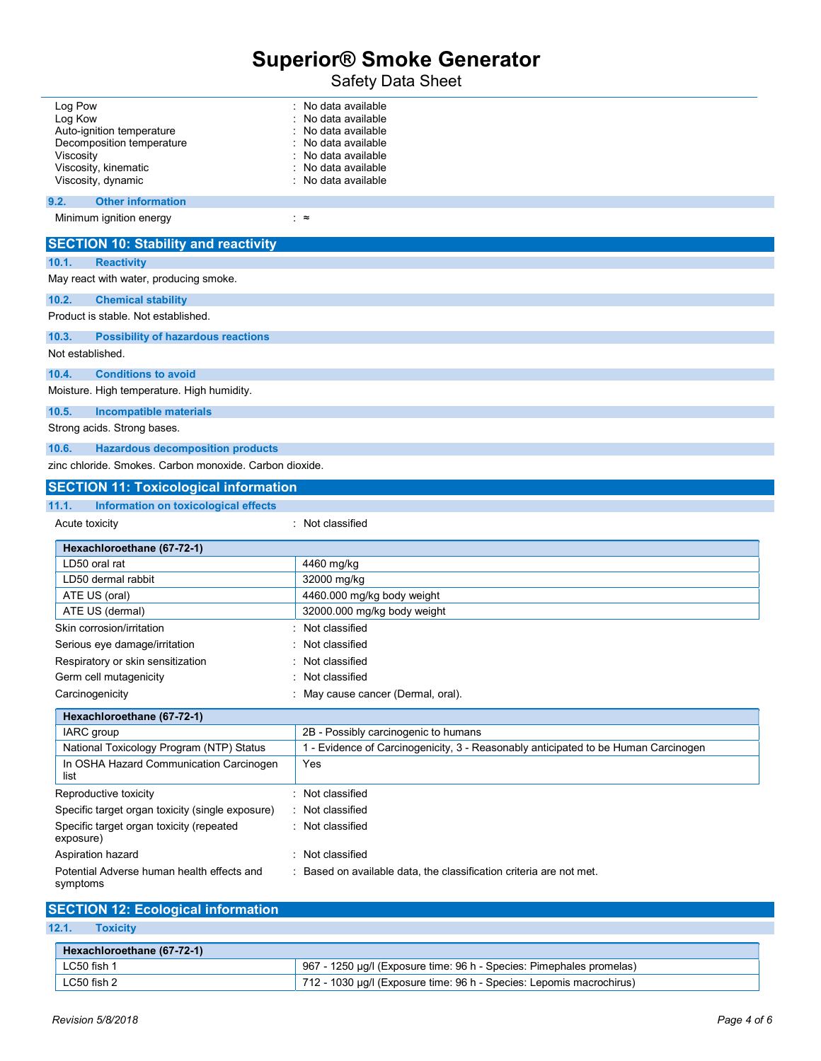Safety Data Sheet

| Log Pow<br>Log Kow<br>Auto-ignition temperature<br>Decomposition temperature<br>Viscosity<br>Viscosity, kinematic<br>Viscosity, dynamic<br>9.2.<br><b>Other information</b><br>Minimum ignition energy | No data available<br>No data available<br>No data available<br>No data available<br>No data available<br>No data available<br>No data available<br>∶≈ |  |  |  |
|--------------------------------------------------------------------------------------------------------------------------------------------------------------------------------------------------------|-------------------------------------------------------------------------------------------------------------------------------------------------------|--|--|--|
|                                                                                                                                                                                                        |                                                                                                                                                       |  |  |  |
| <b>SECTION 10: Stability and reactivity</b>                                                                                                                                                            |                                                                                                                                                       |  |  |  |
| <b>Reactivity</b><br>10.1.                                                                                                                                                                             |                                                                                                                                                       |  |  |  |
| May react with water, producing smoke.                                                                                                                                                                 |                                                                                                                                                       |  |  |  |
| 10.2.<br><b>Chemical stability</b>                                                                                                                                                                     |                                                                                                                                                       |  |  |  |
| Product is stable. Not established.                                                                                                                                                                    |                                                                                                                                                       |  |  |  |
| 10.3.<br><b>Possibility of hazardous reactions</b>                                                                                                                                                     |                                                                                                                                                       |  |  |  |
| Not established.                                                                                                                                                                                       |                                                                                                                                                       |  |  |  |
| <b>Conditions to avoid</b><br>10.4.                                                                                                                                                                    |                                                                                                                                                       |  |  |  |
| Moisture. High temperature. High humidity.                                                                                                                                                             |                                                                                                                                                       |  |  |  |
| <b>Incompatible materials</b><br>10.5.                                                                                                                                                                 |                                                                                                                                                       |  |  |  |
| Strong acids. Strong bases.                                                                                                                                                                            |                                                                                                                                                       |  |  |  |
| 10.6.<br><b>Hazardous decomposition products</b>                                                                                                                                                       |                                                                                                                                                       |  |  |  |
|                                                                                                                                                                                                        | zinc chloride. Smokes. Carbon monoxide. Carbon dioxide.                                                                                               |  |  |  |
| <b>SECTION 11: Toxicological information</b>                                                                                                                                                           |                                                                                                                                                       |  |  |  |
| 11.1.<br>Information on toxicological effects                                                                                                                                                          |                                                                                                                                                       |  |  |  |
| Acute toxicity                                                                                                                                                                                         | : Not classified                                                                                                                                      |  |  |  |
| Hexachloroethane (67-72-1)                                                                                                                                                                             |                                                                                                                                                       |  |  |  |
| LD50 oral rat                                                                                                                                                                                          | 4460 mg/kg                                                                                                                                            |  |  |  |
| LD50 dermal rabbit                                                                                                                                                                                     | 32000 mg/kg                                                                                                                                           |  |  |  |
| ATE US (oral)                                                                                                                                                                                          | 4460.000 mg/kg body weight                                                                                                                            |  |  |  |
| ATE US (dermal)                                                                                                                                                                                        | 32000.000 mg/kg body weight                                                                                                                           |  |  |  |
| Skin corrosion/irritation                                                                                                                                                                              | Not classified                                                                                                                                        |  |  |  |
| Serious eye damage/irritation                                                                                                                                                                          | Not classified                                                                                                                                        |  |  |  |
| Respiratory or skin sensitization                                                                                                                                                                      | Not classified                                                                                                                                        |  |  |  |
| Germ cell mutagenicity                                                                                                                                                                                 | Not classified                                                                                                                                        |  |  |  |
| Carcinogenicity                                                                                                                                                                                        | May cause cancer (Dermal, oral).                                                                                                                      |  |  |  |
| Hexachloroethane (67-72-1)                                                                                                                                                                             |                                                                                                                                                       |  |  |  |
| IARC group                                                                                                                                                                                             | 2B - Possibly carcinogenic to humans                                                                                                                  |  |  |  |
| National Toxicology Program (NTP) Status                                                                                                                                                               | 1 - Evidence of Carcinogenicity, 3 - Reasonably anticipated to be Human Carcinogen<br>Yes                                                             |  |  |  |
| In OSHA Hazard Communication Carcinogen<br>list                                                                                                                                                        |                                                                                                                                                       |  |  |  |
| Reproductive toxicity                                                                                                                                                                                  | : Not classified                                                                                                                                      |  |  |  |
| Specific target organ toxicity (single exposure)                                                                                                                                                       | Not classified                                                                                                                                        |  |  |  |
| Specific target organ toxicity (repeated<br>exposure)                                                                                                                                                  | Not classified                                                                                                                                        |  |  |  |
| Aspiration hazard                                                                                                                                                                                      | : Not classified                                                                                                                                      |  |  |  |
| Potential Adverse human health effects and                                                                                                                                                             | : Based on available data, the classification criteria are not met.                                                                                   |  |  |  |

| <b>SECTION 12: Ecological information</b> |                                                                      |
|-------------------------------------------|----------------------------------------------------------------------|
| 12.1.<br><b>Toxicity</b>                  |                                                                      |
| Hexachloroethane (67-72-1)                |                                                                      |
| LC50 fish 1                               | 967 - 1250 µg/l (Exposure time: 96 h - Species: Pimephales promelas) |
| LC50 fish 2                               | 712 - 1030 µg/l (Exposure time: 96 h - Species: Lepomis macrochirus) |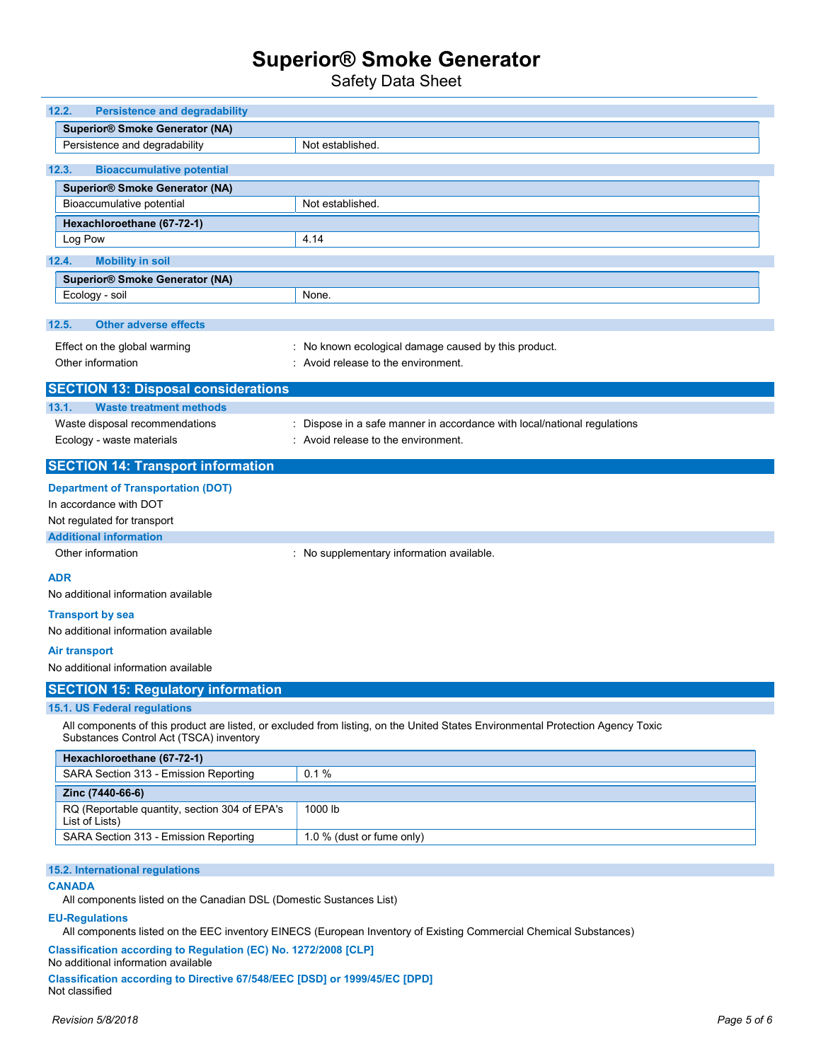Safety Data Sheet

| 12.2.<br><b>Persistence and degradability</b>                   |                                                                                                                                 |
|-----------------------------------------------------------------|---------------------------------------------------------------------------------------------------------------------------------|
| <b>Superior® Smoke Generator (NA)</b>                           |                                                                                                                                 |
| Persistence and degradability                                   | Not established.                                                                                                                |
|                                                                 |                                                                                                                                 |
| 12.3.<br><b>Bioaccumulative potential</b>                       |                                                                                                                                 |
| <b>Superior® Smoke Generator (NA)</b>                           |                                                                                                                                 |
| Bioaccumulative potential                                       | Not established.                                                                                                                |
| Hexachloroethane (67-72-1)                                      |                                                                                                                                 |
| Log Pow                                                         | 4.14                                                                                                                            |
| 12.4.<br><b>Mobility in soil</b>                                |                                                                                                                                 |
| <b>Superior® Smoke Generator (NA)</b>                           |                                                                                                                                 |
| Ecology - soil                                                  | None.                                                                                                                           |
|                                                                 |                                                                                                                                 |
| <b>Other adverse effects</b><br>12.5.                           |                                                                                                                                 |
| Effect on the global warming                                    | : No known ecological damage caused by this product.                                                                            |
| Other information                                               | : Avoid release to the environment.                                                                                             |
|                                                                 |                                                                                                                                 |
| <b>SECTION 13: Disposal considerations</b>                      |                                                                                                                                 |
| <b>Waste treatment methods</b><br>13.1.                         |                                                                                                                                 |
| Waste disposal recommendations                                  | : Dispose in a safe manner in accordance with local/national regulations                                                        |
| Ecology - waste materials                                       | : Avoid release to the environment.                                                                                             |
| <b>SECTION 14: Transport information</b>                        |                                                                                                                                 |
| <b>Department of Transportation (DOT)</b>                       |                                                                                                                                 |
| In accordance with DOT                                          |                                                                                                                                 |
| Not regulated for transport                                     |                                                                                                                                 |
| <b>Additional information</b>                                   |                                                                                                                                 |
| Other information                                               | : No supplementary information available.                                                                                       |
| <b>ADR</b>                                                      |                                                                                                                                 |
| No additional information available                             |                                                                                                                                 |
|                                                                 |                                                                                                                                 |
| <b>Transport by sea</b>                                         |                                                                                                                                 |
| No additional information available                             |                                                                                                                                 |
| <b>Air transport</b>                                            |                                                                                                                                 |
| No additional information available                             |                                                                                                                                 |
| <b>SECTION 15: Regulatory information</b>                       |                                                                                                                                 |
| 15.1. US Federal regulations                                    |                                                                                                                                 |
| Substances Control Act (TSCA) inventory                         | All components of this product are listed, or excluded from listing, on the United States Environmental Protection Agency Toxic |
| Hexachloroethane (67-72-1)                                      |                                                                                                                                 |
| SARA Section 313 - Emission Reporting                           | 0.1%                                                                                                                            |
| Zinc (7440-66-6)                                                |                                                                                                                                 |
| RQ (Reportable quantity, section 304 of EPA's<br>List of Lists) | 1000 lb                                                                                                                         |
| SARA Section 313 - Emission Reporting                           | 1.0 % (dust or fume only)                                                                                                       |
| 15.2. International regulations<br><b>CANADA</b>                |                                                                                                                                 |

All components listed on the Canadian DSL (Domestic Sustances List)

### EU-Regulations

All components listed on the EEC inventory EINECS (European Inventory of Existing Commercial Chemical Substances)

Classification according to Regulation (EC) No. 1272/2008 [CLP]

No additional information available

Classification according to Directive 67/548/EEC [DSD] or 1999/45/EC [DPD] Not classified